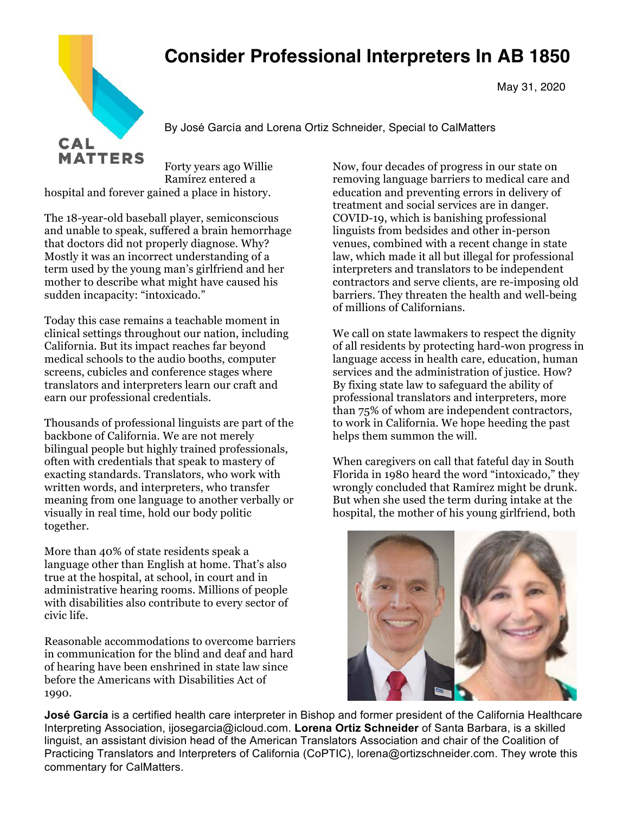## **Consider Professional Interpreters In AB 1850**



May 31, 2020

By José García and Lorena Ortiz Schneider, Special to CalMatters

Forty years ago Willie Ramírez entered a hospital and forever gained a place in history.

The 18-year-old baseball player, semiconscious and unable to speak, suffered a brain hemorrhage that doctors did not properly diagnose. Why? Mostly it was an incorrect understanding of a term used by the young man's girlfriend and her mother to describe what might have caused his sudden incapacity: "intoxicado."

Today this case remains a teachable moment in clinical settings throughout our nation, including California. But its impact reaches far beyond medical schools to the audio booths, computer screens, cubicles and conference stages where translators and interpreters learn our craft and earn our professional credentials.

Thousands of professional linguists are part of the backbone of California. We are not merely bilingual people but highly trained professionals, often with credentials that speak to mastery of exacting standards. Translators, who work with written words, and interpreters, who transfer meaning from one language to another verbally or visually in real time, hold our body politic together.

More than 40% of state residents speak a language other than English at home. That's also true at the hospital, at school, in court and in administrative hearing rooms. Millions of people with disabilities also contribute to every sector of civic life.

Reasonable accommodations to overcome barriers in communication for the blind and deaf and hard of hearing have been enshrined in state law since before the Americans with Disabilities Act of 1990.

Now, four decades of progress in our state on removing language barriers to medical care and education and preventing errors in delivery of treatment and social services are in danger. COVID-19, which is banishing professional linguists from bedsides and other in-person venues, combined with a recent change in state law, which made it all but illegal for professional interpreters and translators to be independent contractors and serve clients, are re-imposing old barriers. They threaten the health and well-being of millions of Californians.

We call on state lawmakers to respect the dignity of all residents by protecting hard-won progress in language access in health care, education, human services and the administration of justice. How? By fixing state law to safeguard the ability of professional translators and interpreters, more than 75% of whom are independent contractors, to work in California. We hope heeding the past helps them summon the will.

When caregivers on call that fateful day in South Florida in 1980 heard the word "intoxicado," they wrongly concluded that Ramírez might be drunk. But when she used the term during intake at the hospital, the mother of his young girlfriend, both



**José García** is a certified health care interpreter in Bishop and former president of the California Healthcare Interpreting Association, ijosegarcia@icloud.com. **Lorena Ortiz Schneider** of Santa Barbara, is a skilled linguist, an assistant division head of the American Translators Association and chair of the Coalition of Practicing Translators and Interpreters of California (CoPTIC), lorena@ortizschneider.com. They wrote this commentary for CalMatters.